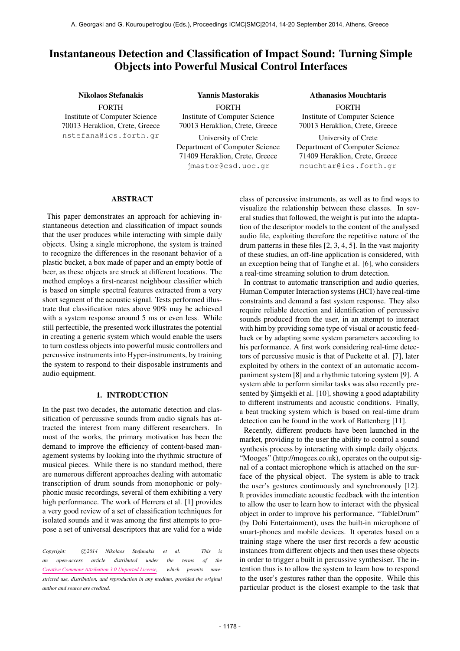# Instantaneous Detection and Classification of Impact Sound: Turning Simple Objects into Powerful Musical Control Interfaces

## Nikolaos Stefanakis

FORTH Institute of Computer Science 70013 Heraklion, Crete, Greece [nstefana@ics.forth.gr](mailto:nstefana@ics.forth.gr)

FORTH Institute of Computer Science 70013 Heraklion, Crete, Greece University of Crete Department of Computer Science 71409 Heraklion, Crete, Greece [jmastor@csd.uoc.gr](mailto:jmastor@csd.uoc.gr)

Yannis Mastorakis

Athanasios Mouchtaris

FORTH Institute of Computer Science 70013 Heraklion, Crete, Greece

University of Crete Department of Computer Science 71409 Heraklion, Crete, Greece [mouchtar@ics.forth.gr](mailto:mouchtar@ics.forth.gr)

## ABSTRACT

This paper demonstrates an approach for achieving instantaneous detection and classification of impact sounds that the user produces while interacting with simple daily objects. Using a single microphone, the system is trained to recognize the differences in the resonant behavior of a plastic bucket, a box made of paper and an empty bottle of beer, as these objects are struck at different locations. The method employs a first-nearest neighbour classifier which is based on simple spectral features extracted from a very short segment of the acoustic signal. Tests performed illustrate that classification rates above 90% may be achieved with a system response around 5 ms or even less. While still perfectible, the presented work illustrates the potential in creating a generic system which would enable the users to turn costless objects into powerful music controllers and percussive instruments into Hyper-instruments, by training the system to respond to their disposable instruments and audio equipment.

## 1. INTRODUCTION

In the past two decades, the automatic detection and classification of percussive sounds from audio signals has attracted the interest from many different researchers. In most of the works, the primary motivation has been the demand to improve the efficiency of content-based management systems by looking into the rhythmic structure of musical pieces. While there is no standard method, there are numerous different approaches dealing with automatic transcription of drum sounds from monophonic or polyphonic music recordings, several of them exhibiting a very high performance. The work of Herrera et al. [1] provides a very good review of a set of classification techniques for isolated sounds and it was among the first attempts to propose a set of universal descriptors that are valid for a wide

Copyright:  $\bigcirc$ 2014 Nikolaos Stefanakis et al. This is *an open-access article distributed under the terms of the [Creative Commons Attribution 3.0 Unported License,](http://creativecommons.org/licenses/by/3.0/) which permits unrestricted use, distribution, and reproduction in any medium, provided the original author and source are credited.*

class of percussive instruments, as well as to find ways to visualize the relationship between these classes. In several studies that followed, the weight is put into the adaptation of the descriptor models to the content of the analysed audio file, exploiting therefore the repetitive nature of the drum patterns in these files [2, 3, 4, 5]. In the vast majority of these studies, an off-line application is considered, with an exception being that of Tanghe et al. [6], who considers a real-time streaming solution to drum detection.

In contrast to automatic transcription and audio queries, Human Computer Interaction systems (HCI) have real-time constraints and demand a fast system response. They also require reliable detection and identification of percussive sounds produced from the user, in an attempt to interact with him by providing some type of visual or acoustic feedback or by adapting some system parameters according to his performance. A first work considering real-time detectors of percussive music is that of Puckette et al. [7], later exploited by others in the context of an automatic accompaniment system [8] and a rhythmic tutoring system [9]. A system able to perform similar tasks was also recently presented by Şimşekli et al. [10], showing a good adaptability to different instruments and acoustic conditions. Finally, a beat tracking system which is based on real-time drum detection can be found in the work of Battenberg [11].

Recently, different products have been launched in the market, providing to the user the ability to control a sound synthesis process by interacting with simple daily objects. "Mooges" (http://mogees.co.uk), operates on the output signal of a contact microphone which is attached on the surface of the physical object. The system is able to track the user's gestures continuously and synchronously [12]. It provides immediate acoustic feedback with the intention to allow the user to learn how to interact with the physical object in order to improve his performance. "TableDrum" (by Dohi Entertainment), uses the built-in microphone of smart-phones and mobile devices. It operates based on a training stage where the user first records a few acoustic instances from different objects and then uses these objects in order to trigger a built in percussive synthesiser. The intention thus is to allow the system to learn how to respond to the user's gestures rather than the opposite. While this particular product is the closest example to the task that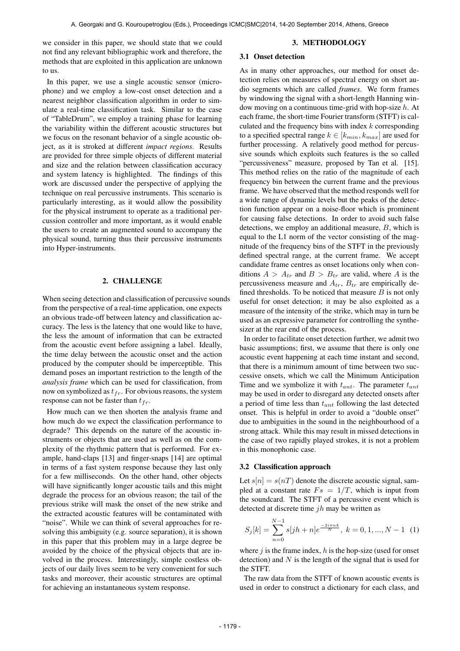we consider in this paper, we should state that we could not find any relevant bibliographic work and therefore, the methods that are exploited in this application are unknown to us.

In this paper, we use a single acoustic sensor (microphone) and we employ a low-cost onset detection and a nearest neighbor classification algorithm in order to simulate a real-time classification task. Similar to the case of "TableDrum", we employ a training phase for learning the variability within the different acoustic structures but we focus on the resonant behavior of a single acoustic object, as it is stroked at different *impact regions*. Results are provided for three simple objects of different material and size and the relation between classification accuracy and system latency is highlighted. The findings of this work are discussed under the perspective of applying the technique on real percussive instruments. This scenario is particularly interesting, as it would allow the possibility for the physical instrument to operate as a traditional percussion controller and more important, as it would enable the users to create an augmented sound to accompany the physical sound, turning thus their percussive instruments into Hyper-instruments.

#### 2. CHALLENGE

When seeing detection and classification of percussive sounds from the perspective of a real-time application, one expects an obvious trade-off between latency and classification accuracy. The less is the latency that one would like to have, the less the amount of information that can be extracted from the acoustic event before assigning a label. Ideally, the time delay between the acoustic onset and the action produced by the computer should be imperceptible. This demand poses an important restriction to the length of the *analysis frame* which can be used for classification, from now on symbolized as  $t_{fr}$ . For obvious reasons, the system response can not be faster than  $t_{fr}$ .

How much can we then shorten the analysis frame and how much do we expect the classification performance to degrade? This depends on the nature of the acoustic instruments or objects that are used as well as on the complexity of the rhythmic pattern that is performed. For example, hand-claps [13] and finger-snaps [14] are optimal in terms of a fast system response because they last only for a few milliseconds. On the other hand, other objects will have significantly longer acoustic tails and this might degrade the process for an obvious reason; the tail of the previous strike will mask the onset of the new strike and the extracted acoustic features will be contaminated with "noise". While we can think of several approaches for resolving this ambiguity (e.g. source separation), it is shown in this paper that this problem may in a large degree be avoided by the choice of the physical objects that are involved in the process. Interestingly, simple costless objects of our daily lives seem to be very convenient for such tasks and moreover, their acoustic structures are optimal for achieving an instantaneous system response.

### 3. METHODOLOGY

## 3.1 Onset detection

As in many other approaches, our method for onset detection relies on measures of spectral energy on short audio segments which are called *frames*. We form frames by windowing the signal with a short-length Hanning window moving on a continuous time-grid with hop-size  $h$ . At each frame, the short-time Fourier transform (STFT) is calculated and the frequency bins with index  $k$  corresponding to a specified spectral range  $k \in [k_{min}, k_{max}]$  are used for further processing. A relatively good method for percussive sounds which exploits such features is the so called "percussiveness" measure, proposed by Tan et al. [15]. This method relies on the ratio of the magnitude of each frequency bin between the current frame and the previous frame. We have observed that the method responds well for a wide range of dynamic levels but the peaks of the detection function appear on a noise-floor which is prominent for causing false detections. In order to avoid such false detections, we employ an additional measure, B, which is equal to the L1 norm of the vector consisting of the magnitude of the frequency bins of the STFT in the previously defined spectral range, at the current frame. We accept candidate frame centres as onset locations only when conditions  $A > A_{tr}$  and  $B > B_{tr}$  are valid, where A is the percussiveness measure and  $A_{tr}$ ,  $B_{tr}$  are empirically defined thresholds. To be noticed that measure  $B$  is not only useful for onset detection; it may be also exploited as a measure of the intensity of the strike, which may in turn be used as an expressive parameter for controlling the synthesizer at the rear end of the process.

In order to facilitate onset detection further, we admit two basic assumptions; first, we assume that there is only one acoustic event happening at each time instant and second, that there is a minimum amount of time between two successive onsets, which we call the Minimum Anticipation Time and we symbolize it with  $t_{ant}$ . The parameter  $t_{ant}$ may be used in order to disregard any detected onsets after a period of time less than  $t_{ant}$  following the last detected onset. This is helpful in order to avoid a "double onset" due to ambiguities in the sound in the neighbourhood of a strong attack. While this may result in missed detections in the case of two rapidly played strokes, it is not a problem in this monophonic case.

## 3.2 Classification approach

Let  $s[n] = s(nT)$  denote the discrete acoustic signal, sampled at a constant rate  $Fs = 1/T$ , which is input from the soundcard. The STFT of a percussive event which is detected at discrete time  $jh$  may be written as

$$
S_j[k] = \sum_{n=0}^{N-1} s[jh+n]e^{\frac{-2i\pi nk}{N}}, \ k = 0, 1, ..., N-1 \quad (1)
$$

where  $j$  is the frame index,  $h$  is the hop-size (used for onset detection) and  $N$  is the length of the signal that is used for the STFT.

The raw data from the STFT of known acoustic events is used in order to construct a dictionary for each class, and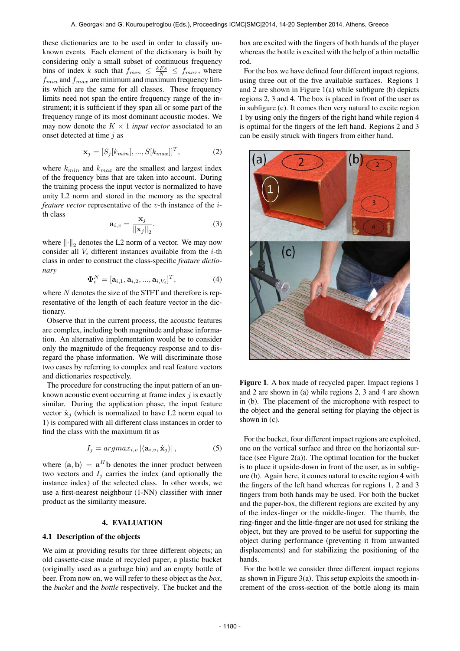these dictionaries are to be used in order to classify unknown events. Each element of the dictionary is built by considering only a small subset of continuous frequency bins of index k such that  $f_{min} \leq \frac{kFs}{N} \leq f_{max}$ , where  $f_{min}$  and  $f_{max}$  are minimum and maximum frequency limits which are the same for all classes. These frequency limits need not span the entire frequency range of the instrument; it is sufficient if they span all or some part of the frequency range of its most dominant acoustic modes. We may now denote the  $K \times 1$  *input vector* associated to an onset detected at time  $j$  as

$$
\mathbf{x}_j = [S_j[k_{min}], ..., S[k_{max}]]^T,
$$
\n(2)

where  $k_{min}$  and  $k_{max}$  are the smallest and largest index of the frequency bins that are taken into account. During the training process the input vector is normalized to have unity L2 norm and stored in the memory as the spectral *feature vector* representative of the *v*-th instance of the *i*th class

$$
\mathbf{a}_{i,v} = \frac{\mathbf{x}_j}{\|\mathbf{x}_j\|_2}.\tag{3}
$$

where  $\left\Vert \cdot\right\Vert_2$  denotes the L2 norm of a vector. We may now consider all  $V_i$  different instances available from the *i*-th class in order to construct the class-specific *feature dictionary*

$$
\mathbf{\Phi}_i^N = [\mathbf{a}_{i,1}, \mathbf{a}_{i,2}, ..., \mathbf{a}_{i,V_i}]^T, \tag{4}
$$

where  $N$  denotes the size of the STFT and therefore is representative of the length of each feature vector in the dictionary.

Observe that in the current process, the acoustic features are complex, including both magnitude and phase information. An alternative implementation would be to consider only the magnitude of the frequency response and to disregard the phase information. We will discriminate those two cases by referring to complex and real feature vectors and dictionaries respectively.

The procedure for constructing the input pattern of an unknown acoustic event occurring at frame index  $i$  is exactly similar. During the application phase, the input feature vector  $\hat{\mathbf{x}}_i$  (which is normalized to have L2 norm equal to 1) is compared with all different class instances in order to find the class with the maximum fit as

$$
I_j = argmax_{i,v} |\langle \mathbf{a}_{i,v}, \hat{\mathbf{x}}_j \rangle|, \tag{5}
$$

where  $\langle \mathbf{a}, \mathbf{b} \rangle = \mathbf{a}^H \mathbf{b}$  denotes the inner product between two vectors and  $I_j$  carries the index (and optionally the instance index) of the selected class. In other words, we use a first-nearest neighbour (1-NN) classifier with inner product as the similarity measure.

## 4. EVALUATION

## 4.1 Description of the objects

We aim at providing results for three different objects; an old cassette-case made of recycled paper, a plastic bucket (originally used as a garbage bin) and an empty bottle of beer. From now on, we will refer to these object as the *box*, the *bucket* and the *bottle* respectively. The bucket and the box are excited with the fingers of both hands of the player whereas the bottle is excited with the help of a thin metallic rod.

For the box we have defined four different impact regions, using three out of the five available surfaces. Regions 1 and 2 are shown in Figure 1(a) while subfigure (b) depicts regions 2, 3 and 4. The box is placed in front of the user as in subfigure (c). It comes then very natural to excite region 1 by using only the fingers of the right hand while region 4 is optimal for the fingers of the left hand. Regions 2 and 3 can be easily struck with fingers from either hand.



Figure 1. A box made of recycled paper. Impact regions 1 and 2 are shown in (a) while regions 2, 3 and 4 are shown in (b). The placement of the microphone with respect to the object and the general setting for playing the object is shown in (c).

For the bucket, four different impact regions are exploited, one on the vertical surface and three on the horizontal surface (see Figure  $2(a)$ ). The optimal location for the bucket is to place it upside-down in front of the user, as in subfigure (b). Again here, it comes natural to excite region 4 with the fingers of the left hand whereas for regions 1, 2 and 3 fingers from both hands may be used. For both the bucket and the paper-box, the different regions are excited by any of the index-finger or the middle-finger. The thumb, the ring-finger and the little-finger are not used for striking the object, but they are proved to be useful for supporting the object during performance (preventing it from unwanted displacements) and for stabilizing the positioning of the hands.

For the bottle we consider three different impact regions as shown in Figure  $3(a)$ . This setup exploits the smooth increment of the cross-section of the bottle along its main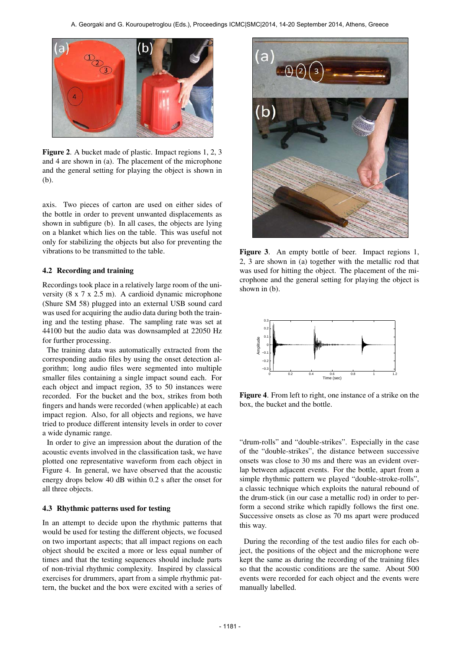

Figure 2. A bucket made of plastic. Impact regions 1, 2, 3 and 4 are shown in (a). The placement of the microphone and the general setting for playing the object is shown in (b).

axis. Two pieces of carton are used on either sides of the bottle in order to prevent unwanted displacements as shown in subfigure (b). In all cases, the objects are lying on a blanket which lies on the table. This was useful not only for stabilizing the objects but also for preventing the vibrations to be transmitted to the table.

## 4.2 Recording and training

Recordings took place in a relatively large room of the university (8 x 7 x 2.5 m). A cardioid dynamic microphone (Shure SM 58) plugged into an external USB sound card was used for acquiring the audio data during both the training and the testing phase. The sampling rate was set at 44100 but the audio data was downsampled at 22050 Hz for further processing.

The training data was automatically extracted from the corresponding audio files by using the onset detection algorithm; long audio files were segmented into multiple smaller files containing a single impact sound each. For each object and impact region, 35 to 50 instances were recorded. For the bucket and the box, strikes from both fingers and hands were recorded (when applicable) at each impact region. Also, for all objects and regions, we have tried to produce different intensity levels in order to cover a wide dynamic range.

In order to give an impression about the duration of the acoustic events involved in the classification task, we have plotted one representative waveform from each object in Figure 4. In general, we have observed that the acoustic energy drops below 40 dB within 0.2 s after the onset for all three objects.

## 4.3 Rhythmic patterns used for testing

In an attempt to decide upon the rhythmic patterns that would be used for testing the different objects, we focused on two important aspects; that all impact regions on each object should be excited a more or less equal number of times and that the testing sequences should include parts of non-trivial rhythmic complexity. Inspired by classical exercises for drummers, apart from a simple rhythmic pattern, the bucket and the box were excited with a series of



Figure 3. An empty bottle of beer. Impact regions 1, 2, 3 are shown in (a) together with the metallic rod that was used for hitting the object. The placement of the microphone and the general setting for playing the object is shown in (b).



Figure 4. From left to right, one instance of a strike on the box, the bucket and the bottle.

"drum-rolls" and "double-strikes". Especially in the case of the "double-strikes", the distance between successive onsets was close to 30 ms and there was an evident overlap between adjacent events. For the bottle, apart from a simple rhythmic pattern we played "double-stroke-rolls", a classic technique which exploits the natural rebound of the drum-stick (in our case a metallic rod) in order to perform a second strike which rapidly follows the first one. Successive onsets as close as 70 ms apart were produced this way.

During the recording of the test audio files for each object, the positions of the object and the microphone were kept the same as during the recording of the training files so that the acoustic conditions are the same. About 500 events were recorded for each object and the events were manually labelled.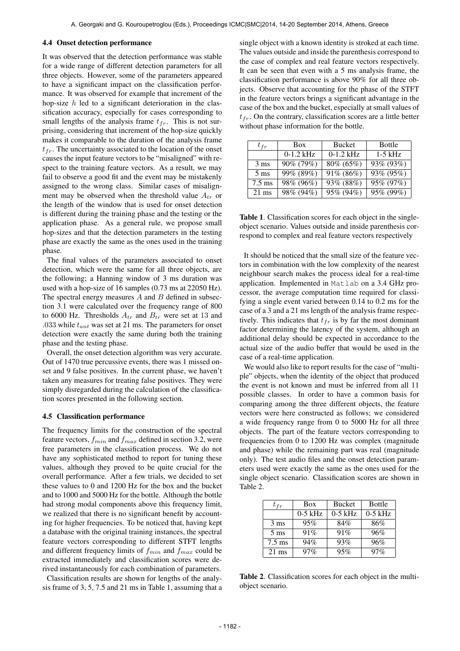## 4.4 Onset detection performance

It was observed that the detection performance was stable for a wide range of different detection parameters for all three objects. However, some of the parameters appeared to have a significant impact on the classification performance. It was observed for example that increment of the hop-size  $h$  led to a significant deterioration in the classification accuracy, especially for cases corresponding to small lengths of the analysis frame  $t_{fr}$ . This is not surprising, considering that increment of the hop-size quickly makes it comparable to the duration of the analysis frame  $t_{fr}$ . The uncertainty associated to the location of the onset causes the input feature vectors to be "misaligned" with respect to the training feature vectors. As a result, we may fail to observe a good fit and the event may be mistakenly assigned to the wrong class. Similar cases of misalignment may be observed when the threshold value  $A_{tr}$  or the length of the window that is used for onset detection is different during the training phase and the testing or the application phase. As a general rule, we propose small hop-sizes and that the detection parameters in the testing phase are exactly the same as the ones used in the training phase.

The final values of the parameters associated to onset detection, which were the same for all three objects, are the following; a Hanning window of 3 ms duration was used with a hop-size of 16 samples (0.73 ms at 22050 Hz). The spectral energy measures  $A$  and  $B$  defined in subsection 3.1 were calculated over the frequency range of 800 to 6000 Hz. Thresholds  $A_{tr}$  and  $B_{tr}$  were set at 13 and .033 while  $t_{ant}$  was set at 21 ms. The parameters for onset detection were exactly the same during both the training phase and the testing phase.

Overall, the onset detection algorithm was very accurate. Out of 1470 true percussive events, there was 1 missed onset and 9 false positives. In the current phase, we haven't taken any measures for treating false positives. They were simply disregarded during the calculation of the classification scores presented in the following section.

### 4.5 Classification performance

The frequency limits for the construction of the spectral feature vectors,  $f_{min}$  and  $f_{max}$  defined in section 3.2, were free parameters in the classification process. We do not have any sophisticated method to report for tuning these values, although they proved to be quite crucial for the overall performance. After a few trials, we decided to set these values to 0 and 1200 Hz for the box and the bucket and to 1000 and 5000 Hz for the bottle. Although the bottle had strong modal components above this frequency limit, we realized that there is no significant benefit by accounting for higher frequencies. To be noticed that, having kept a database with the original training instances, the spectral feature vectors corresponding to different STFT lengths and different frequency limits of  $f_{min}$  and  $f_{max}$  could be extracted immediately and classification scores were derived instantaneously for each combination of parameters.

Classification results are shown for lengths of the analysis frame of 3, 5, 7.5 and 21 ms in Table 1, assuming that a single object with a known identity is stroked at each time. The values outside and inside the parenthesis correspond to the case of complex and real feature vectors respectively. It can be seen that even with a 5 ms analysis frame, the classification performance is above 90% for all three objects. Observe that accounting for the phase of the STFT in the feature vectors brings a significant advantage in the case of the box and the bucket, especially at small values of  $t_{fr}$ . On the contrary, classification scores are a little better without phase information for the bottle.

| $t_{fr}$         | <b>Box</b>  | <b>Bucket</b> | <b>Bottle</b>             |
|------------------|-------------|---------------|---------------------------|
|                  | $0-1.2$ kHz | $0-1.2$ kHz   | $1-5$ kHz                 |
| $3 \text{ ms}$   | 90% (79%)   | $80\% (65\%)$ | 93% (93%)                 |
| $5 \text{ ms}$   | 99% (89%)   | 91% (86%)     | 93% (95%)                 |
| $7.5 \text{ ms}$ | 98% (96%)   | 93% (88%)     | 95% (97%)                 |
| $21 \text{ ms}$  | 98% (94%)   | 95% (94%)     | $\frac{95\%}{95\%}$ (99%) |

Table 1. Classification scores for each object in the singleobject scenario. Values outside and inside parenthesis correspond to complex and real feature vectors respectively

It should be noticed that the small size of the feature vectors in combination with the low complexity of the nearest neighbour search makes the process ideal for a real-time application. Implemented in Matlab on a 3.4 GHz processor, the average computation time required for classifying a single event varied between 0.14 to 0.2 ms for the case of a 3 and a 21 ms length of the analysis frame respectively. This indicates that  $t_{fr}$  is by far the most dominant factor determining the latency of the system, although an additional delay should be expected in accordance to the actual size of the audio buffer that would be used in the case of a real-time application.

We would also like to report results for the case of "multiple" objects, when the identity of the object that produced the event is not known and must be inferred from all 11 possible classes. In order to have a common basis for comparing among the three different objects, the feature vectors were here constructed as follows; we considered a wide frequency range from 0 to 5000 Hz for all three objects. The part of the feature vectors corresponding to frequencies from 0 to 1200 Hz was complex (magnitude and phase) while the remaining part was real (magnitude only). The test audio files and the onset detection parameters used were exactly the same as the ones used for the single object scenario. Classification scores are shown in Table 2.

| $t_{fr}$         | <b>Box</b> | <b>Bucket</b> | <b>Bottle</b> |
|------------------|------------|---------------|---------------|
|                  | $0-5$ kHz  | $0-5$ kHz     | $0-5$ kHz     |
| $3 \text{ ms}$   | 95%        | 84%           | 86%           |
| $5 \text{ ms}$   | 91%        | 91%           | 96%           |
| $7.5 \text{ ms}$ | 94%        | 93%           | 96%           |
| $21 \text{ ms}$  | 97%        | 95%           | $97\%$        |

Table 2. Classification scores for each object in the multiobject scenario.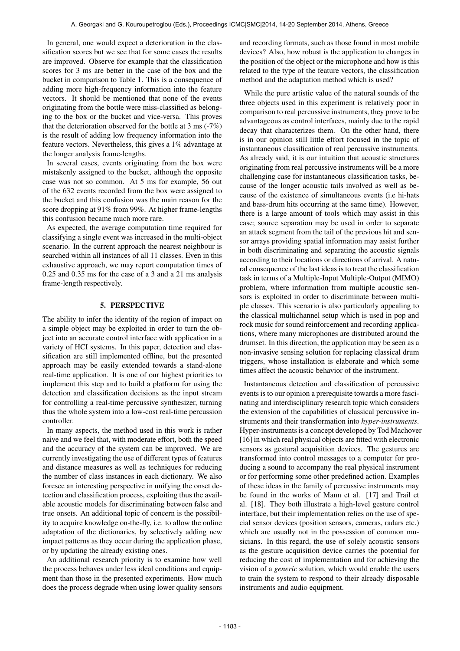In general, one would expect a deterioration in the classification scores but we see that for some cases the results are improved. Observe for example that the classification scores for 3 ms are better in the case of the box and the bucket in comparison to Table 1. This is a consequence of adding more high-frequency information into the feature vectors. It should be mentioned that none of the events originating from the bottle were miss-classified as belonging to the box or the bucket and vice-versa. This proves that the deterioration observed for the bottle at 3 ms (-7%) is the result of adding low frequency information into the feature vectors. Nevertheless, this gives a 1% advantage at the longer analysis frame-lengths.

In several cases, events originating from the box were mistakenly assigned to the bucket, although the opposite case was not so common. At 5 ms for example, 56 out of the 632 events recorded from the box were assigned to the bucket and this confusion was the main reason for the score dropping at 91% from 99%. At higher frame-lengths this confusion became much more rare.

As expected, the average computation time required for classifying a single event was increased in the multi-object scenario. In the current approach the nearest neighbour is searched within all instances of all 11 classes. Even in this exhaustive approach, we may report computation times of 0.25 and 0.35 ms for the case of a 3 and a 21 ms analysis frame-length respectively.

# 5. PERSPECTIVE

The ability to infer the identity of the region of impact on a simple object may be exploited in order to turn the object into an accurate control interface with application in a variety of HCI systems. In this paper, detection and classification are still implemented offline, but the presented approach may be easily extended towards a stand-alone real-time application. It is one of our highest priorities to implement this step and to build a platform for using the detection and classification decisions as the input stream for controlling a real-time percussive synthesizer, turning thus the whole system into a low-cost real-time percussion controller.

In many aspects, the method used in this work is rather naive and we feel that, with moderate effort, both the speed and the accuracy of the system can be improved. We are currently investigating the use of different types of features and distance measures as well as techniques for reducing the number of class instances in each dictionary. We also foresee an interesting perspective in unifying the onset detection and classification process, exploiting thus the available acoustic models for discriminating between false and true onsets. An additional topic of concern is the possibility to acquire knowledge on-the-fly, i.e. to allow the online adaptation of the dictionaries, by selectively adding new impact patterns as they occur during the application phase, or by updating the already existing ones.

An additional research priority is to examine how well the process behaves under less ideal conditions and equipment than those in the presented experiments. How much does the process degrade when using lower quality sensors and recording formats, such as those found in most mobile devices? Also, how robust is the application to changes in the position of the object or the microphone and how is this related to the type of the feature vectors, the classification method and the adaptation method which is used?

While the pure artistic value of the natural sounds of the three objects used in this experiment is relatively poor in comparison to real percussive instruments, they prove to be advantageous as control interfaces, mainly due to the rapid decay that characterizes them. On the other hand, there is in our opinion still little effort focused in the topic of instantaneous classification of real percussive instruments. As already said, it is our intuition that acoustic structures originating from real percussive instruments will be a more challenging case for instantaneous classification tasks, because of the longer acoustic tails involved as well as because of the existence of simultaneous events (i.e hi-hats and bass-drum hits occurring at the same time). However, there is a large amount of tools which may assist in this case; source separation may be used in order to separate an attack segment from the tail of the previous hit and sensor arrays providing spatial information may assist further in both discriminating and separating the acoustic signals according to their locations or directions of arrival. A natural consequence of the last ideas is to treat the classification task in terms of a Multiple-Input Multiple-Output (MIMO) problem, where information from multiple acoustic sensors is exploited in order to discriminate between multiple classes. This scenario is also particularly appealing to the classical multichannel setup which is used in pop and rock music for sound reinforcement and recording applications, where many microphones are distributed around the drumset. In this direction, the application may be seen as a non-invasive sensing solution for replacing classical drum triggers, whose installation is elaborate and which some times affect the acoustic behavior of the instrument.

Instantaneous detection and classification of percussive events is to our opinion a prerequisite towards a more fascinating and interdisciplinary research topic which considers the extension of the capabilities of classical percussive instruments and their transformation into *hyper-instruments*. Hyper-instruments is a concept developed by Tod Machover [16] in which real physical objects are fitted with electronic sensors as gestural acquisition devices. The gestures are transformed into control messages to a computer for producing a sound to accompany the real physical instrument or for performing some other predefined action. Examples of these ideas in the family of percussive instruments may be found in the works of Mann et al. [17] and Trail et al. [18]. They both illustrate a high-level gesture control interface, but their implementation relies on the use of special sensor devices (position sensors, cameras, radars etc.) which are usually not in the possession of common musicians. In this regard, the use of solely acoustic sensors as the gesture acquisition device carries the potential for reducing the cost of implementation and for achieving the vision of a *generic* solution, which would enable the users to train the system to respond to their already disposable instruments and audio equipment.